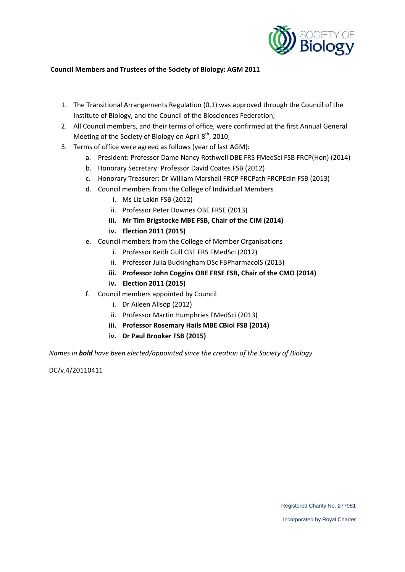

#### **Council Members and Trustees of the Society of Biology: AGM 2011**

- 1. The Transitional Arrangements Regulation (0.1) was approved through the Council of the Institute of Biology, and the Council of the Biosciences Federation;
- 2. All Council members, and their terms of office, were confirmed at the first Annual General Meeting of the Society of Biology on April  $8<sup>th</sup>$ , 2010;
- 3. Terms of office were agreed as follows (year of last AGM):
	- a. President: Professor Dame Nancy Rothwell DBE FRS FMedSci FSB FRCP(Hon) (2014)
	- b. Honorary Secretary: Professor David Coates FSB (2012)
	- c. Honorary Treasurer: Dr William Marshall FRCP FRCPath FRCPEdin FSB (2013)
	- d. Council members from the College of Individual Members
		- i. Ms Liz Lakin FSB (2012)
		- ii. Professor Peter Downes OBE FRSE (2013)
		- **iii. Mr Tim Brigstocke MBE FSB, Chair of the CIM (2014)**
		- **iv. Election 2011 (2015)**
	- e. Council members from the College of Member Organisations
		- i. Professor Keith Gull CBE FRS FMedSci (2012)
		- ii. Professor Julia Buckingham DSc FBPharmacolS (2013)
		- **iii. Professor John Coggins OBE FRSE FSB, Chair of the CMO (2014)**
		- **iv. Election 2011 (2015)**
	- f. Council members appointed by Council
		- i. Dr Aileen Allsop (2012)
		- ii. Professor Martin Humphries FMedSci (2013)
		- **iii. Professor Rosemary Hails MBE CBiol FSB (2014)**
		- **iv. Dr Paul Brooker FSB (2015)**

*Names in bold have been elected/appointed since the creation of the Society of Biology*

DC/v.4/20110411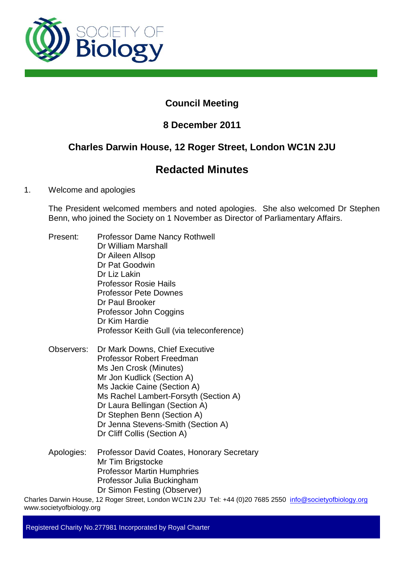

# **Council Meeting**

# **8 December 2011**

# **Charles Darwin House, 12 Roger Street, London WC1N 2JU**

# **Redacted Minutes**

# 1. Welcome and apologies

The President welcomed members and noted apologies. She also welcomed Dr Stephen Benn, who joined the Society on 1 November as Director of Parliamentary Affairs.

- Present: Professor Dame Nancy Rothwell Dr William Marshall Dr Aileen Allsop Dr Pat Goodwin Dr Liz Lakin Professor Rosie Hails Professor Pete Downes Dr Paul Brooker Professor John Coggins Dr Kim Hardie Professor Keith Gull (via teleconference)
- Observers: Dr Mark Downs, Chief Executive Professor Robert Freedman Ms Jen Crosk (Minutes) Mr Jon Kudlick (Section A) Ms Jackie Caine (Section A) Ms Rachel Lambert-Forsyth (Section A) Dr Laura Bellingan (Section A) Dr Stephen Benn (Section A) Dr Jenna Stevens-Smith (Section A) Dr Cliff Collis (Section A)
- Apologies: Professor David Coates, Honorary Secretary Mr Tim Brigstocke Professor Martin Humphries Professor Julia Buckingham Dr Simon Festing (Observer)

Charles Darwin House, 12 Roger Street, London WC1N 2JU Tel: +44 (0)20 7685 2550 info@societyofbiology.org www.societyofbiology.org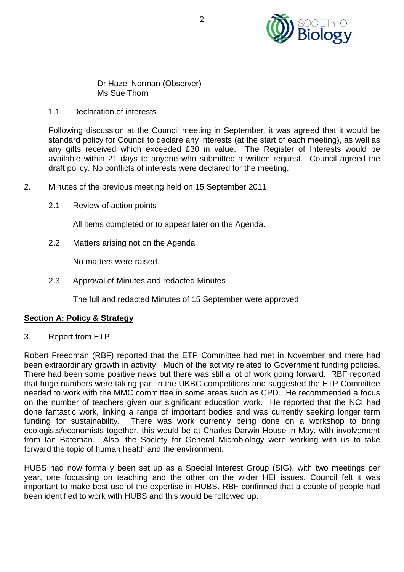

Dr Hazel Norman (Observer) Ms Sue Thorn

1.1 Declaration of interests

Following discussion at the Council meeting in September, it was agreed that it would be standard policy for Council to declare any interests (at the start of each meeting), as well as any gifts received which exceeded £30 in value. The Register of Interests would be available within 21 days to anyone who submitted a written request. Council agreed the draft policy. No conflicts of interests were declared for the meeting.

- 2. Minutes of the previous meeting held on 15 September 2011
	- 2.1 Review of action points

All items completed or to appear later on the Agenda.

2.2 Matters arising not on the Agenda

No matters were raised.

2.3 Approval of Minutes and redacted Minutes

The full and redacted Minutes of 15 September were approved.

# **Section A: Policy & Strategy**

3. Report from ETP

Robert Freedman (RBF) reported that the ETP Committee had met in November and there had been extraordinary growth in activity. Much of the activity related to Government funding policies. There had been some positive news but there was still a lot of work going forward. RBF reported that huge numbers were taking part in the UKBC competitions and suggested the ETP Committee needed to work with the MMC committee in some areas such as CPD. He recommended a focus on the number of teachers given our significant education work. He reported that the NCI had done fantastic work, linking a range of important bodies and was currently seeking longer term funding for sustainability. There was work currently being done on a workshop to bring ecologists/economists together, this would be at Charles Darwin House in May, with involvement from Ian Bateman. Also, the Society for General Microbiology were working with us to take forward the topic of human health and the environment.

HUBS had now formally been set up as a Special Interest Group (SIG), with two meetings per year, one focussing on teaching and the other on the wider HEI issues. Council felt it was important to make best use of the expertise in HUBS. RBF confirmed that a couple of people had been identified to work with HUBS and this would be followed up.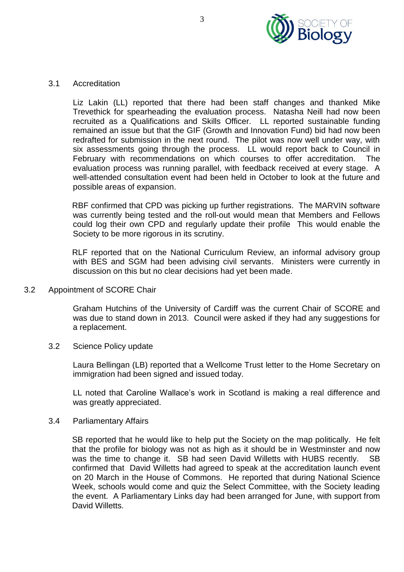

### 3.1 Accreditation

Liz Lakin (LL) reported that there had been staff changes and thanked Mike Trevethick for spearheading the evaluation process. Natasha Neill had now been recruited as a Qualifications and Skills Officer. LL reported sustainable funding remained an issue but that the GIF (Growth and Innovation Fund) bid had now been redrafted for submission in the next round. The pilot was now well under way, with six assessments going through the process. LL would report back to Council in February with recommendations on which courses to offer accreditation. The evaluation process was running parallel, with feedback received at every stage. A well-attended consultation event had been held in October to look at the future and possible areas of expansion.

RBF confirmed that CPD was picking up further registrations. The MARVIN software was currently being tested and the roll-out would mean that Members and Fellows could log their own CPD and regularly update their profile This would enable the Society to be more rigorous in its scrutiny.

RLF reported that on the National Curriculum Review, an informal advisory group with BES and SGM had been advising civil servants. Ministers were currently in discussion on this but no clear decisions had yet been made.

3.2 Appointment of SCORE Chair

Graham Hutchins of the University of Cardiff was the current Chair of SCORE and was due to stand down in 2013. Council were asked if they had any suggestions for a replacement.

3.2 Science Policy update

Laura Bellingan (LB) reported that a Wellcome Trust letter to the Home Secretary on immigration had been signed and issued today.

LL noted that Caroline Wallace's work in Scotland is making a real difference and was greatly appreciated.

3.4 Parliamentary Affairs

SB reported that he would like to help put the Society on the map politically. He felt that the profile for biology was not as high as it should be in Westminster and now was the time to change it. SB had seen David Willetts with HUBS recently. SB confirmed that David Willetts had agreed to speak at the accreditation launch event on 20 March in the House of Commons. He reported that during National Science Week, schools would come and quiz the Select Committee, with the Society leading the event. A Parliamentary Links day had been arranged for June, with support from David Willetts.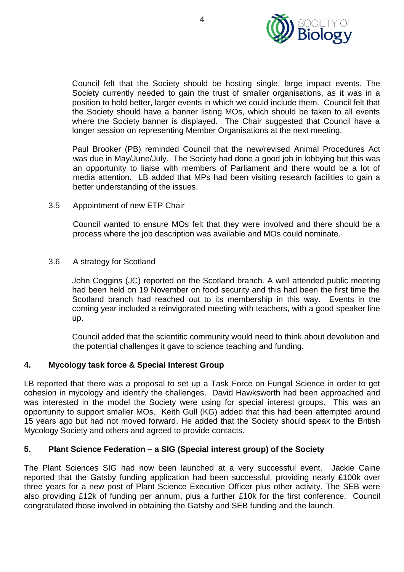

Council felt that the Society should be hosting single, large impact events. The Society currently needed to gain the trust of smaller organisations, as it was in a position to hold better, larger events in which we could include them. Council felt that the Society should have a banner listing MOs, which should be taken to all events where the Society banner is displayed. The Chair suggested that Council have a longer session on representing Member Organisations at the next meeting.

Paul Brooker (PB) reminded Council that the new/revised Animal Procedures Act was due in May/June/July. The Society had done a good job in lobbying but this was an opportunity to liaise with members of Parliament and there would be a lot of media attention. LB added that MPs had been visiting research facilities to gain a better understanding of the issues.

3.5 Appointment of new ETP Chair

Council wanted to ensure MOs felt that they were involved and there should be a process where the job description was available and MOs could nominate.

3.6 A strategy for Scotland

John Coggins (JC) reported on the Scotland branch. A well attended public meeting had been held on 19 November on food security and this had been the first time the Scotland branch had reached out to its membership in this way. Events in the coming year included a reinvigorated meeting with teachers, with a good speaker line up.

Council added that the scientific community would need to think about devolution and the potential challenges it gave to science teaching and funding.

# **4. Mycology task force & Special Interest Group**

LB reported that there was a proposal to set up a Task Force on Fungal Science in order to get cohesion in mycology and identify the challenges. David Hawksworth had been approached and was interested in the model the Society were using for special interest groups. This was an opportunity to support smaller MOs. Keith Gull (KG) added that this had been attempted around 15 years ago but had not moved forward. He added that the Society should speak to the British Mycology Society and others and agreed to provide contacts.

# **5. Plant Science Federation – a SIG (Special interest group) of the Society**

The Plant Sciences SIG had now been launched at a very successful event. Jackie Caine reported that the Gatsby funding application had been successful, providing nearly £100k over three years for a new post of Plant Science Executive Officer plus other activity. The SEB were also providing £12k of funding per annum, plus a further £10k for the first conference. Council congratulated those involved in obtaining the Gatsby and SEB funding and the launch.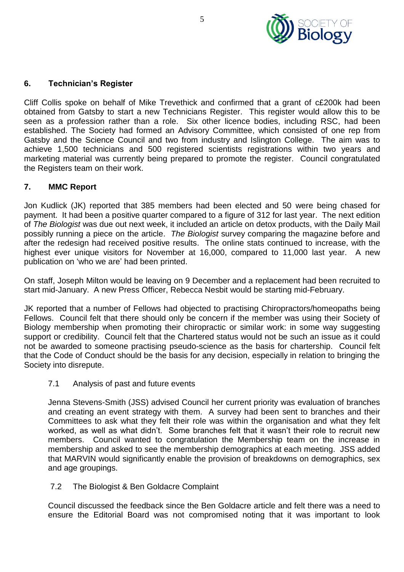

## **6. Technician's Register**

Cliff Collis spoke on behalf of Mike Trevethick and confirmed that a grant of c£200k had been obtained from Gatsby to start a new Technicians Register. This register would allow this to be seen as a profession rather than a role. Six other licence bodies, including RSC, had been established. The Society had formed an Advisory Committee, which consisted of one rep from Gatsby and the Science Council and two from industry and Islington College. The aim was to achieve 1,500 technicians and 500 registered scientists registrations within two years and marketing material was currently being prepared to promote the register. Council congratulated the Registers team on their work.

### **7. MMC Report**

Jon Kudlick (JK) reported that 385 members had been elected and 50 were being chased for payment. It had been a positive quarter compared to a figure of 312 for last year. The next edition of *The Biologist* was due out next week, it included an article on detox products, with the Daily Mail possibly running a piece on the article. *The Biologist* survey comparing the magazine before and after the redesign had received positive results. The online stats continued to increase, with the highest ever unique visitors for November at 16,000, compared to 11,000 last year. A new publication on 'who we are' had been printed.

On staff, Joseph Milton would be leaving on 9 December and a replacement had been recruited to start mid-January. A new Press Officer, Rebecca Nesbit would be starting mid-February.

JK reported that a number of Fellows had objected to practising Chiropractors/homeopaths being Fellows. Council felt that there should only be concern if the member was using their Society of Biology membership when promoting their chiropractic or similar work: in some way suggesting support or credibility. Council felt that the Chartered status would not be such an issue as it could not be awarded to someone practising pseudo-science as the basis for chartership. Council felt that the Code of Conduct should be the basis for any decision, especially in relation to bringing the Society into disrepute.

7.1 Analysis of past and future events

Jenna Stevens-Smith (JSS) advised Council her current priority was evaluation of branches and creating an event strategy with them. A survey had been sent to branches and their Committees to ask what they felt their role was within the organisation and what they felt worked, as well as what didn't. Some branches felt that it wasn't their role to recruit new members. Council wanted to congratulation the Membership team on the increase in membership and asked to see the membership demographics at each meeting. JSS added that MARVIN would significantly enable the provision of breakdowns on demographics, sex and age groupings.

### 7.2 The Biologist & Ben Goldacre Complaint

Council discussed the feedback since the Ben Goldacre article and felt there was a need to ensure the Editorial Board was not compromised noting that it was important to look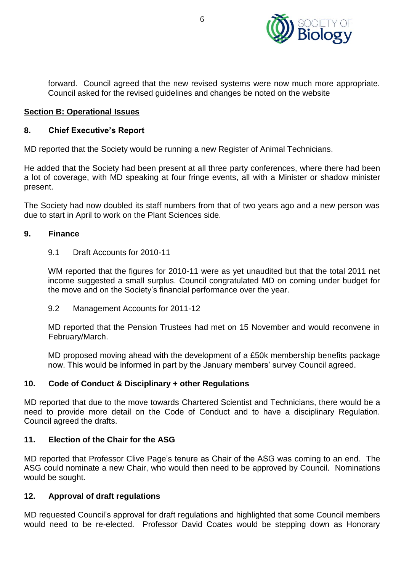

forward. Council agreed that the new revised systems were now much more appropriate. Council asked for the revised guidelines and changes be noted on the website

### **Section B: Operational Issues**

### **8. Chief Executive's Report**

MD reported that the Society would be running a new Register of Animal Technicians.

He added that the Society had been present at all three party conferences, where there had been a lot of coverage, with MD speaking at four fringe events, all with a Minister or shadow minister present.

The Society had now doubled its staff numbers from that of two years ago and a new person was due to start in April to work on the Plant Sciences side.

### **9. Finance**

9.1 Draft Accounts for 2010-11

WM reported that the figures for 2010-11 were as yet unaudited but that the total 2011 net income suggested a small surplus. Council congratulated MD on coming under budget for the move and on the Society's financial performance over the year.

9.2 Management Accounts for 2011-12

MD reported that the Pension Trustees had met on 15 November and would reconvene in February/March.

MD proposed moving ahead with the development of a £50k membership benefits package now. This would be informed in part by the January members' survey Council agreed.

### **10. Code of Conduct & Disciplinary + other Regulations**

MD reported that due to the move towards Chartered Scientist and Technicians, there would be a need to provide more detail on the Code of Conduct and to have a disciplinary Regulation. Council agreed the drafts.

### **11. Election of the Chair for the ASG**

MD reported that Professor Clive Page's tenure as Chair of the ASG was coming to an end. The ASG could nominate a new Chair, who would then need to be approved by Council. Nominations would be sought.

### **12. Approval of draft regulations**

MD requested Council's approval for draft regulations and highlighted that some Council members would need to be re-elected. Professor David Coates would be stepping down as Honorary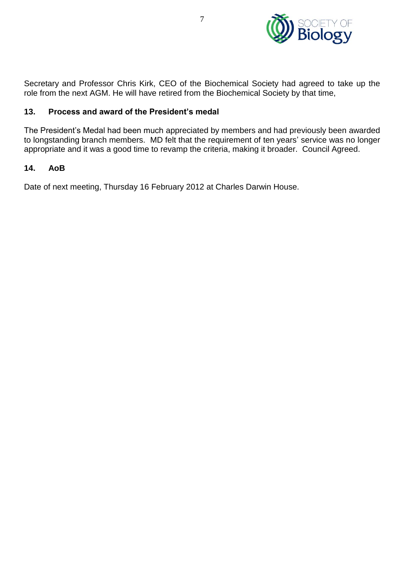

Secretary and Professor Chris Kirk, CEO of the Biochemical Society had agreed to take up the role from the next AGM. He will have retired from the Biochemical Society by that time,

# **13. Process and award of the President's medal**

The President's Medal had been much appreciated by members and had previously been awarded to longstanding branch members. MD felt that the requirement of ten years' service was no longer appropriate and it was a good time to revamp the criteria, making it broader. Council Agreed.

### **14. AoB**

Date of next meeting, Thursday 16 February 2012 at Charles Darwin House.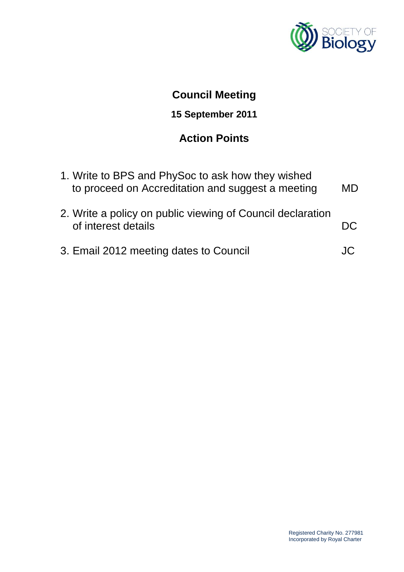

# **Council Meeting**

# **15 September 2011**

# **Action Points**

| 1. Write to BPS and PhySoc to ask how they wished<br>to proceed on Accreditation and suggest a meeting | <b>MD</b> |
|--------------------------------------------------------------------------------------------------------|-----------|
| 2. Write a policy on public viewing of Council declaration<br>of interest details                      |           |
| 3. Email 2012 meeting dates to Council                                                                 |           |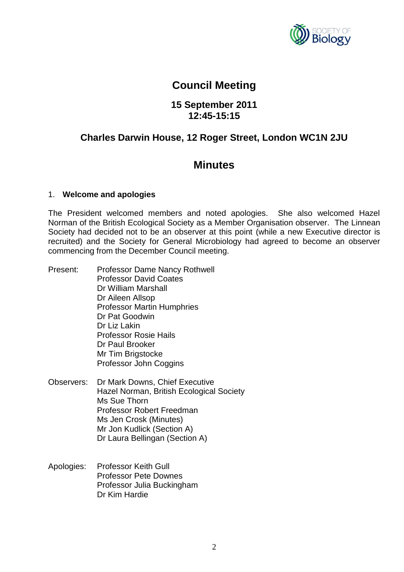

# **Council Meeting**

# **15 September 2011 12:45-15:15**

# **Charles Darwin House, 12 Roger Street, London WC1N 2JU**

# **Minutes**

### 1. **Welcome and apologies**

The President welcomed members and noted apologies. She also welcomed Hazel Norman of the British Ecological Society as a Member Organisation observer. The Linnean Society had decided not to be an observer at this point (while a new Executive director is recruited) and the Society for General Microbiology had agreed to become an observer commencing from the December Council meeting.

- Present: Professor Dame Nancy Rothwell Professor David Coates Dr William Marshall Dr Aileen Allsop Professor Martin Humphries Dr Pat Goodwin Dr Liz Lakin Professor Rosie Hails Dr Paul Brooker Mr Tim Brigstocke Professor John Coggins
- Observers: Dr Mark Downs, Chief Executive Hazel Norman, British Ecological Society Ms Sue Thorn Professor Robert Freedman Ms Jen Crosk (Minutes) Mr Jon Kudlick (Section A) Dr Laura Bellingan (Section A)
- Apologies: Professor Keith Gull Professor Pete Downes Professor Julia Buckingham Dr Kim Hardie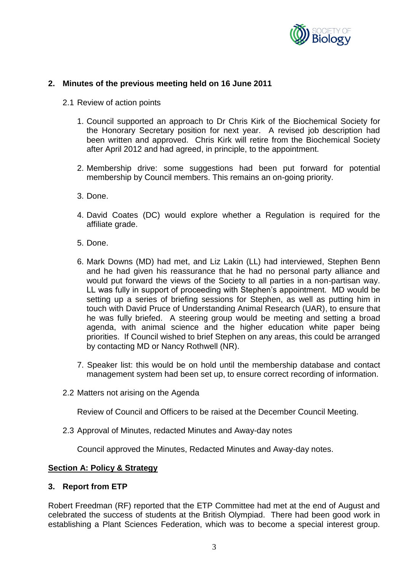

## **2. Minutes of the previous meeting held on 16 June 2011**

- 2.1 Review of action points
	- 1. Council supported an approach to Dr Chris Kirk of the Biochemical Society for the Honorary Secretary position for next year. A revised job description had been written and approved. Chris Kirk will retire from the Biochemical Society after April 2012 and had agreed, in principle, to the appointment.
	- 2. Membership drive: some suggestions had been put forward for potential membership by Council members. This remains an on-going priority.
	- 3. Done.
	- 4. David Coates (DC) would explore whether a Regulation is required for the affiliate grade.
	- 5. Done.
	- 6. Mark Downs (MD) had met, and Liz Lakin (LL) had interviewed, Stephen Benn and he had given his reassurance that he had no personal party alliance and would put forward the views of the Society to all parties in a non-partisan way. LL was fully in support of proceeding with Stephen's appointment. MD would be setting up a series of briefing sessions for Stephen, as well as putting him in touch with David Pruce of Understanding Animal Research (UAR), to ensure that he was fully briefed. A steering group would be meeting and setting a broad agenda, with animal science and the higher education white paper being priorities. If Council wished to brief Stephen on any areas, this could be arranged by contacting MD or Nancy Rothwell (NR).
	- 7. Speaker list: this would be on hold until the membership database and contact management system had been set up, to ensure correct recording of information.
- 2.2 Matters not arising on the Agenda

Review of Council and Officers to be raised at the December Council Meeting.

2.3 Approval of Minutes, redacted Minutes and Away-day notes

Council approved the Minutes, Redacted Minutes and Away-day notes.

### **Section A: Policy & Strategy**

### **3. Report from ETP**

Robert Freedman (RF) reported that the ETP Committee had met at the end of August and celebrated the success of students at the British Olympiad. There had been good work in establishing a Plant Sciences Federation, which was to become a special interest group.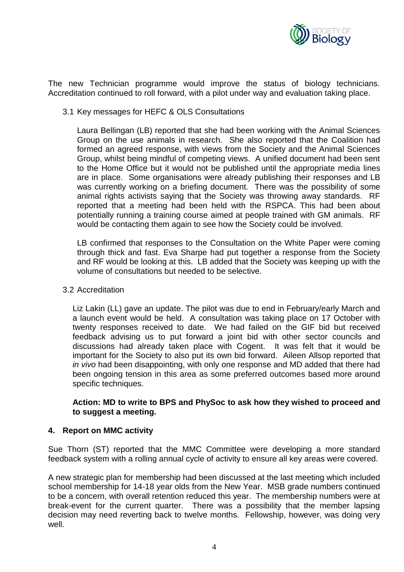

The new Technician programme would improve the status of biology technicians. Accreditation continued to roll forward, with a pilot under way and evaluation taking place.

3.1 Key messages for HEFC & OLS Consultations

Laura Bellingan (LB) reported that she had been working with the Animal Sciences Group on the use animals in research. She also reported that the Coalition had formed an agreed response, with views from the Society and the Animal Sciences Group, whilst being mindful of competing views. A unified document had been sent to the Home Office but it would not be published until the appropriate media lines are in place. Some organisations were already publishing their responses and LB was currently working on a briefing document. There was the possibility of some animal rights activists saying that the Society was throwing away standards. RF reported that a meeting had been held with the RSPCA. This had been about potentially running a training course aimed at people trained with GM animals. RF would be contacting them again to see how the Society could be involved.

LB confirmed that responses to the Consultation on the White Paper were coming through thick and fast. Eva Sharpe had put together a response from the Society and RF would be looking at this. LB added that the Society was keeping up with the volume of consultations but needed to be selective.

### 3.2 Accreditation

Liz Lakin (LL) gave an update. The pilot was due to end in February/early March and a launch event would be held. A consultation was taking place on 17 October with twenty responses received to date. We had failed on the GIF bid but received feedback advising us to put forward a joint bid with other sector councils and discussions had already taken place with Cogent. It was felt that it would be important for the Society to also put its own bid forward. Aileen Allsop reported that *in vivo* had been disappointing, with only one response and MD added that there had been ongoing tension in this area as some preferred outcomes based more around specific techniques.

### **Action: MD to write to BPS and PhySoc to ask how they wished to proceed and to suggest a meeting.**

### **4. Report on MMC activity**

Sue Thorn (ST) reported that the MMC Committee were developing a more standard feedback system with a rolling annual cycle of activity to ensure all key areas were covered.

A new strategic plan for membership had been discussed at the last meeting which included school membership for 14-18 year olds from the New Year. MSB grade numbers continued to be a concern, with overall retention reduced this year. The membership numbers were at break-event for the current quarter. There was a possibility that the member lapsing decision may need reverting back to twelve months. Fellowship, however, was doing very well.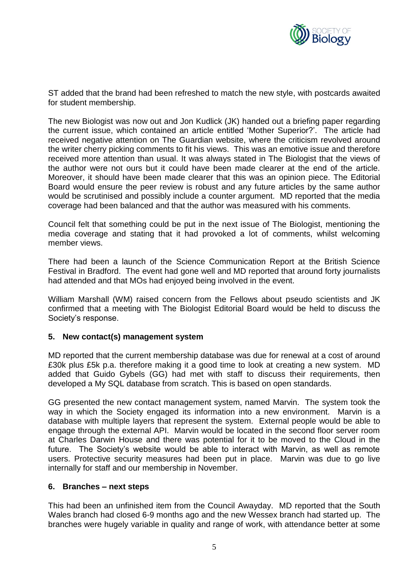

ST added that the brand had been refreshed to match the new style, with postcards awaited for student membership.

The new Biologist was now out and Jon Kudlick (JK) handed out a briefing paper regarding the current issue, which contained an article entitled 'Mother Superior?'. The article had received negative attention on The Guardian website, where the criticism revolved around the writer cherry picking comments to fit his views. This was an emotive issue and therefore received more attention than usual. It was always stated in The Biologist that the views of the author were not ours but it could have been made clearer at the end of the article. Moreover, it should have been made clearer that this was an opinion piece. The Editorial Board would ensure the peer review is robust and any future articles by the same author would be scrutinised and possibly include a counter argument. MD reported that the media coverage had been balanced and that the author was measured with his comments.

Council felt that something could be put in the next issue of The Biologist, mentioning the media coverage and stating that it had provoked a lot of comments, whilst welcoming member views.

There had been a launch of the Science Communication Report at the British Science Festival in Bradford. The event had gone well and MD reported that around forty journalists had attended and that MOs had enjoyed being involved in the event.

William Marshall (WM) raised concern from the Fellows about pseudo scientists and JK confirmed that a meeting with The Biologist Editorial Board would be held to discuss the Society's response.

### **5. New contact(s) management system**

MD reported that the current membership database was due for renewal at a cost of around £30k plus £5k p.a. therefore making it a good time to look at creating a new system. MD added that Guido Gybels (GG) had met with staff to discuss their requirements, then developed a My SQL database from scratch. This is based on open standards.

GG presented the new contact management system, named Marvin. The system took the way in which the Society engaged its information into a new environment. Marvin is a database with multiple layers that represent the system. External people would be able to engage through the external API. Marvin would be located in the second floor server room at Charles Darwin House and there was potential for it to be moved to the Cloud in the future. The Society's website would be able to interact with Marvin, as well as remote users. Protective security measures had been put in place. Marvin was due to go live internally for staff and our membership in November.

### **6. Branches – next steps**

This had been an unfinished item from the Council Awayday. MD reported that the South Wales branch had closed 6-9 months ago and the new Wessex branch had started up. The branches were hugely variable in quality and range of work, with attendance better at some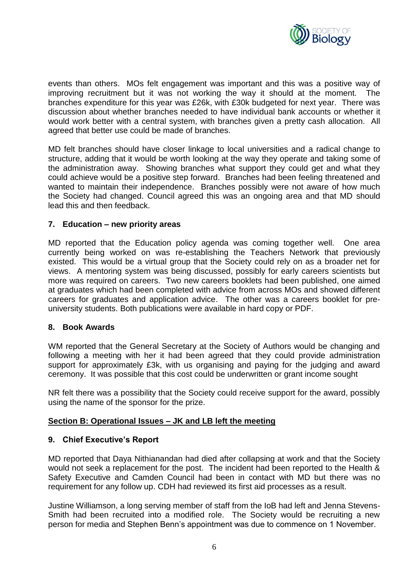

events than others. MOs felt engagement was important and this was a positive way of improving recruitment but it was not working the way it should at the moment. The branches expenditure for this year was £26k, with £30k budgeted for next year. There was discussion about whether branches needed to have individual bank accounts or whether it would work better with a central system, with branches given a pretty cash allocation. All agreed that better use could be made of branches.

MD felt branches should have closer linkage to local universities and a radical change to structure, adding that it would be worth looking at the way they operate and taking some of the administration away. Showing branches what support they could get and what they could achieve would be a positive step forward. Branches had been feeling threatened and wanted to maintain their independence. Branches possibly were not aware of how much the Society had changed. Council agreed this was an ongoing area and that MD should lead this and then feedback.

### **7. Education – new priority areas**

MD reported that the Education policy agenda was coming together well. One area currently being worked on was re-establishing the Teachers Network that previously existed. This would be a virtual group that the Society could rely on as a broader net for views. A mentoring system was being discussed, possibly for early careers scientists but more was required on careers. Two new careers booklets had been published, one aimed at graduates which had been completed with advice from across MOs and showed different careers for graduates and application advice. The other was a careers booklet for preuniversity students. Both publications were available in hard copy or PDF.

### **8. Book Awards**

WM reported that the General Secretary at the Society of Authors would be changing and following a meeting with her it had been agreed that they could provide administration support for approximately £3k, with us organising and paying for the judging and award ceremony. It was possible that this cost could be underwritten or grant income sought

NR felt there was a possibility that the Society could receive support for the award, possibly using the name of the sponsor for the prize.

### **Section B: Operational Issues – JK and LB left the meeting**

### **9. Chief Executive's Report**

MD reported that Daya Nithianandan had died after collapsing at work and that the Society would not seek a replacement for the post. The incident had been reported to the Health & Safety Executive and Camden Council had been in contact with MD but there was no requirement for any follow up. CDH had reviewed its first aid processes as a result.

Justine Williamson, a long serving member of staff from the IoB had left and Jenna Stevens-Smith had been recruited into a modified role. The Society would be recruiting a new person for media and Stephen Benn's appointment was due to commence on 1 November.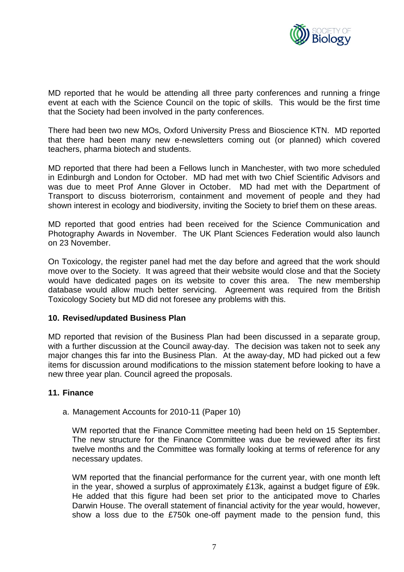

MD reported that he would be attending all three party conferences and running a fringe event at each with the Science Council on the topic of skills. This would be the first time that the Society had been involved in the party conferences.

There had been two new MOs, Oxford University Press and Bioscience KTN. MD reported that there had been many new e-newsletters coming out (or planned) which covered teachers, pharma biotech and students.

MD reported that there had been a Fellows lunch in Manchester, with two more scheduled in Edinburgh and London for October. MD had met with two Chief Scientific Advisors and was due to meet Prof Anne Glover in October. MD had met with the Department of Transport to discuss bioterrorism, containment and movement of people and they had shown interest in ecology and biodiversity, inviting the Society to brief them on these areas.

MD reported that good entries had been received for the Science Communication and Photography Awards in November. The UK Plant Sciences Federation would also launch on 23 November.

On Toxicology, the register panel had met the day before and agreed that the work should move over to the Society. It was agreed that their website would close and that the Society would have dedicated pages on its website to cover this area. The new membership database would allow much better servicing. Agreement was required from the British Toxicology Society but MD did not foresee any problems with this.

### **10. Revised/updated Business Plan**

MD reported that revision of the Business Plan had been discussed in a separate group, with a further discussion at the Council away-day. The decision was taken not to seek any major changes this far into the Business Plan. At the away-day, MD had picked out a few items for discussion around modifications to the mission statement before looking to have a new three year plan. Council agreed the proposals.

### **11. Finance**

a. Management Accounts for 2010-11 (Paper 10)

WM reported that the Finance Committee meeting had been held on 15 September. The new structure for the Finance Committee was due be reviewed after its first twelve months and the Committee was formally looking at terms of reference for any necessary updates.

WM reported that the financial performance for the current year, with one month left in the year, showed a surplus of approximately £13k, against a budget figure of £9k. He added that this figure had been set prior to the anticipated move to Charles Darwin House. The overall statement of financial activity for the year would, however, show a loss due to the £750k one-off payment made to the pension fund, this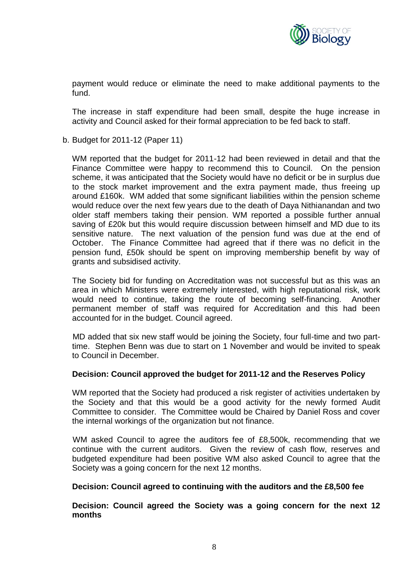

payment would reduce or eliminate the need to make additional payments to the fund.

The increase in staff expenditure had been small, despite the huge increase in activity and Council asked for their formal appreciation to be fed back to staff.

b. Budget for 2011-12 (Paper 11)

WM reported that the budget for 2011-12 had been reviewed in detail and that the Finance Committee were happy to recommend this to Council. On the pension scheme, it was anticipated that the Society would have no deficit or be in surplus due to the stock market improvement and the extra payment made, thus freeing up around £160k. WM added that some significant liabilities within the pension scheme would reduce over the next few years due to the death of Daya Nithianandan and two older staff members taking their pension. WM reported a possible further annual saving of £20k but this would require discussion between himself and MD due to its sensitive nature. The next valuation of the pension fund was due at the end of October. The Finance Committee had agreed that if there was no deficit in the pension fund, £50k should be spent on improving membership benefit by way of grants and subsidised activity.

The Society bid for funding on Accreditation was not successful but as this was an area in which Ministers were extremely interested, with high reputational risk, work would need to continue, taking the route of becoming self-financing. Another permanent member of staff was required for Accreditation and this had been accounted for in the budget. Council agreed.

MD added that six new staff would be joining the Society, four full-time and two parttime. Stephen Benn was due to start on 1 November and would be invited to speak to Council in December.

### **Decision: Council approved the budget for 2011-12 and the Reserves Policy**

WM reported that the Society had produced a risk register of activities undertaken by the Society and that this would be a good activity for the newly formed Audit Committee to consider. The Committee would be Chaired by Daniel Ross and cover the internal workings of the organization but not finance.

WM asked Council to agree the auditors fee of £8,500k, recommending that we continue with the current auditors. Given the review of cash flow, reserves and budgeted expenditure had been positive WM also asked Council to agree that the Society was a going concern for the next 12 months.

### **Decision: Council agreed to continuing with the auditors and the £8,500 fee**

**Decision: Council agreed the Society was a going concern for the next 12 months**